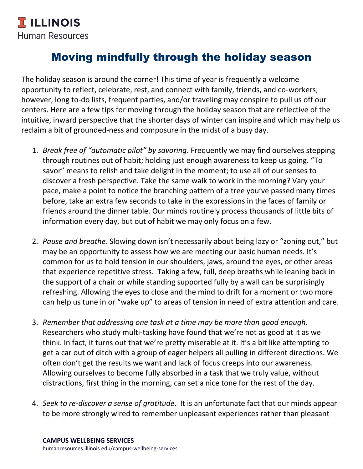## Moving mindfully through the holiday season

The holiday season is around the corner! This time of year is frequently a welcome opportunity to reflect, celebrate, rest, and connect with family, friends, and co-workers; however, long to-do lists, frequent parties, and/or traveling may conspire to pull us off our centers. Here are a few tips for moving through the holiday season that are reflective of the intuitive, inward perspective that the shorter days of winter can inspire and which may help us reclaim a bit of grounded-ness and composure in the midst of a busy day.

- 1. *Break free of "automatic pilot" by savoring*. Frequently we may find ourselves stepping through routines out of habit; holding just enough awareness to keep us going. "To savor" means to relish and take delight in the moment; to use all of our senses to discover a fresh perspective. Take the same walk to work in the morning? Vary your pace, make a point to notice the branching pattern of a tree you've passed many times before, take an extra few seconds to take in the expressions in the faces of family or friends around the dinner table. Our minds routinely process thousands of little bits of information every day, but out of habit we may only focus on a few.
- 2. *Pause and breathe*. Slowing down isn't necessarily about being lazy or "zoning out," but may be an opportunity to assess how we are meeting our basic human needs. It's common for us to hold tension in our shoulders, jaws, around the eyes, or other areas that experience repetitive stress. Taking a few, full, deep breaths while leaning back in the support of a chair or while standing supported fully by a wall can be surprisingly refreshing. Allowing the eyes to close and the mind to drift for a moment or two more can help us tune in or "wake up" to areas of tension in need of extra attention and care.
- 3. *Remember that addressing one task at a time may be more than good enough*. Researchers who study multi-tasking have found that we're not as good at it as we think. In fact, it turns out that we're pretty miserable at it. It's a bit like attempting to get a car out of ditch with a group of eager helpers all pulling in different directions. We often don't get the results we want and lack of focus creeps into our awareness. Allowing ourselves to become fully absorbed in a task that we truly value, without distractions, first thing in the morning, can set a nice tone for the rest of the day.
- 4. *Seek to re-discover a sense of gratitude*. It is an unfortunate fact that our minds appear to be more strongly wired to remember unpleasant experiences rather than pleasant